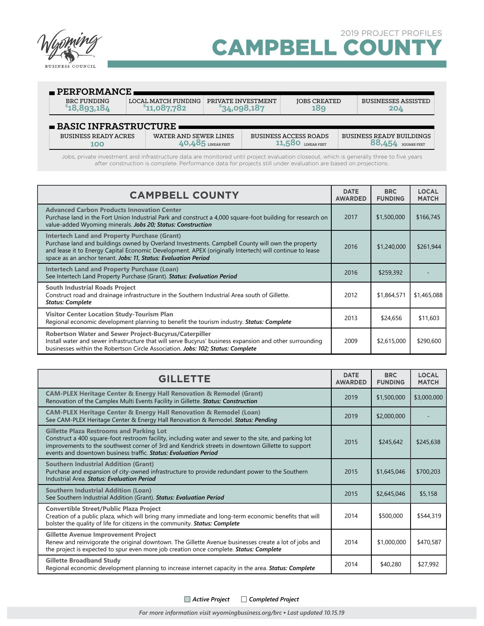

| $\blacksquare$ PERFORMANCE          |                                     |                                    |                                             |                                                       |  |
|-------------------------------------|-------------------------------------|------------------------------------|---------------------------------------------|-------------------------------------------------------|--|
| <b>BRC FUNDING</b><br>\$18,893,184  | LOCAL MATCH FUNDING<br>\$11,087,782 | PRIVATE INVESTMENT<br>\$34,098,187 | <b>JOBS CREATED</b><br>189                  | <b>BUSINESSES ASSISTED</b><br>204                     |  |
| $\blacksquare$ BASIC INFRASTRUCTURE |                                     |                                    |                                             |                                                       |  |
| <b>BUSINESS READY ACRES</b><br>100  | WATER AND SEWER LINES               | LINEAR FEET                        | <b>BUSINESS ACCESS ROADS</b><br>LINEAR FEET | <b>BUSINESS READY BUILDINGS</b><br><b>SOUARE FEET</b> |  |

Jobs, private investment and infrastructure data are monitored until project evaluation closeout, which is generally three to five years after construction is complete. Performance data for projects still under evaluation are based on projections.

| <b>CAMPBELL COUNTY</b>                                                                                                                                                                                                                                                                                                               |      | <b>BRC</b><br><b>FUNDING</b> | <b>LOCAL</b><br><b>MATCH</b> |
|--------------------------------------------------------------------------------------------------------------------------------------------------------------------------------------------------------------------------------------------------------------------------------------------------------------------------------------|------|------------------------------|------------------------------|
| <b>Advanced Carbon Products Innovation Center</b><br>Purchase land in the Fort Union Industrial Park and construct a 4,000 square-foot building for research on<br>value-added Wyoming minerals. Jobs 20; Status: Construction                                                                                                       | 2017 | \$1,500,000                  | \$166,745                    |
| <b>Intertech Land and Property Purchase (Grant)</b><br>Purchase land and buildings owned by Overland Investments. Campbell County will own the property<br>and lease it to Energy Capital Economic Development. APEX (originally Intertech) will continue to lease<br>space as an anchor tenant. Jobs: 11, Status: Evaluation Period | 2016 | \$1,240,000                  | \$261,944                    |
| <b>Intertech Land and Property Purchase (Loan)</b><br>See Intertech Land Property Purchase (Grant). Status: Evaluation Period                                                                                                                                                                                                        | 2016 | \$259,392                    |                              |
| <b>South Industrial Roads Project</b><br>Construct road and drainage infrastructure in the Southern Industrial Area south of Gillette.<br><b>Status: Complete</b>                                                                                                                                                                    | 2012 | \$1,864,571                  | \$1,465,088                  |
| <b>Visitor Center Location Study-Tourism Plan</b><br>Regional economic development planning to benefit the tourism industry. Status: Complete                                                                                                                                                                                        | 2013 | \$24,656                     | \$11,603                     |
| Robertson Water and Sewer Project-Bucyrus/Caterpiller<br>Install water and sewer infrastructure that will serve Bucyrus' business expansion and other surrounding<br>businesses within the Robertson Circle Association. Jobs: 102; Status: Complete                                                                                 | 2009 | \$2,615,000                  | \$290,600                    |

| <b>GILLETTE</b>                                                                                                                                                                                                                                                                                                                 |      | <b>BRC</b><br><b>FUNDING</b> | <b>LOCAL</b><br><b>MATCH</b> |
|---------------------------------------------------------------------------------------------------------------------------------------------------------------------------------------------------------------------------------------------------------------------------------------------------------------------------------|------|------------------------------|------------------------------|
| <b>CAM-PLEX Heritage Center &amp; Energy Hall Renovation &amp; Remodel (Grant)</b><br>Renovation of the Camplex Multi Events Facility in Gillette. Status: Construction                                                                                                                                                         | 2019 | \$1,500,000                  | \$3,000,000                  |
| <b>CAM-PLEX Heritage Center &amp; Energy Hall Renovation &amp; Remodel (Loan)</b><br>See CAM-PLEX Heritage Center & Energy Hall Renovation & Remodel. Status: Pending                                                                                                                                                           | 2019 | \$2,000,000                  |                              |
| <b>Gillette Plaza Restrooms and Parking Lot</b><br>Construct a 400 square-foot restroom facility, including water and sewer to the site, and parking lot<br>improvements to the southwest corner of 3rd and Kendrick streets in downtown Gillette to support<br>events and downtown business traffic. Status: Evaluation Period | 2015 | \$245,642                    | \$245,638                    |
| <b>Southern Industrial Addition (Grant)</b><br>Purchase and expansion of city-owned infrastructure to provide redundant power to the Southern<br>Industrial Area, Status: Evaluation Period                                                                                                                                     | 2015 | \$1,645,046                  | \$700,203                    |
| <b>Southern Industrial Addition (Loan)</b><br>See Southern Industrial Addition (Grant). Status: Evaluation Period                                                                                                                                                                                                               | 2015 | \$2,645,046                  | \$5,158                      |
| <b>Convertible Street/Public Plaza Project</b><br>Creation of a public plaza, which will bring many immediate and long-term economic benefits that will<br>bolster the quality of life for citizens in the community. Status: Complete                                                                                          | 2014 | \$500,000                    | \$544,319                    |
| <b>Gillette Avenue Improvement Project</b><br>Renew and reinvigorate the original downtown. The Gillette Avenue businesses create a lot of jobs and<br>the project is expected to spur even more job creation once complete. Status: Complete                                                                                   | 2014 | \$1,000,000                  | \$470,587                    |
| <b>Gillette Broadband Study</b><br>Regional economic development planning to increase internet capacity in the area. Status: Complete                                                                                                                                                                                           | 2014 | \$40,280                     | \$27,992                     |

*Active Project Completed Project*